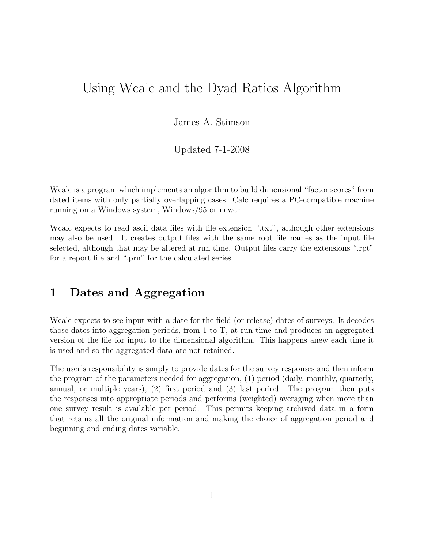# Using Wcalc and the Dyad Ratios Algorithm

James A. Stimson

Updated 7-1-2008

Wcalc is a program which implements an algorithm to build dimensional "factor scores" from dated items with only partially overlapping cases. Calc requires a PC-compatible machine running on a Windows system, Windows/95 or newer.

Wcalc expects to read ascii data files with file extension ".txt", although other extensions may also be used. It creates output files with the same root file names as the input file selected, although that may be altered at run time. Output files carry the extensions ".rpt" for a report file and ".prn" for the calculated series.

## 1 Dates and Aggregation

Wcalc expects to see input with a date for the field (or release) dates of surveys. It decodes those dates into aggregation periods, from 1 to T, at run time and produces an aggregated version of the file for input to the dimensional algorithm. This happens anew each time it is used and so the aggregated data are not retained.

The user's responsibility is simply to provide dates for the survey responses and then inform the program of the parameters needed for aggregation, (1) period (daily, monthly, quarterly, annual, or multiple years), (2) first period and (3) last period. The program then puts the responses into appropriate periods and performs (weighted) averaging when more than one survey result is available per period. This permits keeping archived data in a form that retains all the original information and making the choice of aggregation period and beginning and ending dates variable.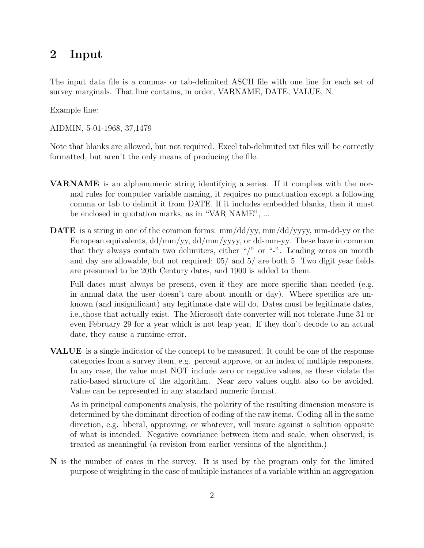### 2 Input

The input data file is a comma- or tab-delimited ASCII file with one line for each set of survey marginals. That line contains, in order, VARNAME, DATE, VALUE, N.

Example line:

AIDMIN, 5-01-1968, 37,1479

Note that blanks are allowed, but not required. Excel tab-delimited txt files will be correctly formatted, but aren't the only means of producing the file.

- VARNAME is an alphanumeric string identifying a series. If it complies with the normal rules for computer variable naming, it requires no punctuation except a following comma or tab to delimit it from DATE. If it includes embedded blanks, then it must be enclosed in quotation marks, as in "VAR NAME", ...
- DATE is a string in one of the common forms:  $mm/dd/yy$ ,  $mm/dd/yy$ yy, mm-dd-yy or the European equivalents,  $\frac{dd}{mm}$ /yy,  $\frac{dd}{mm}$ /yyyy, or dd-mm-yy. These have in common that they always contain two delimiters, either "/" or "-". Leading zeros on month and day are allowable, but not required: 05/ and 5/ are both 5. Two digit year fields are presumed to be 20th Century dates, and 1900 is added to them.

Full dates must always be present, even if they are more specific than needed (e.g. in annual data the user doesn't care about month or day). Where specifics are unknown (and insignificant) any legitimate date will do. Dates must be legitimate dates, i.e.,those that actually exist. The Microsoft date converter will not tolerate June 31 or even February 29 for a year which is not leap year. If they don't decode to an actual date, they cause a runtime error.

VALUE is a single indicator of the concept to be measured. It could be one of the response categories from a survey item, e.g. percent approve, or an index of multiple responses. In any case, the value must NOT include zero or negative values, as these violate the ratio-based structure of the algorithm. Near zero values ought also to be avoided. Value can be represented in any standard numeric format.

As in principal components analysis, the polarity of the resulting dimension measure is determined by the dominant direction of coding of the raw items. Coding all in the same direction, e.g. liberal, approving, or whatever, will insure against a solution opposite of what is intended. Negative covariance between item and scale, when observed, is treated as meaningful (a revision from earlier versions of the algorithm.)

N is the number of cases in the survey. It is used by the program only for the limited purpose of weighting in the case of multiple instances of a variable within an aggregation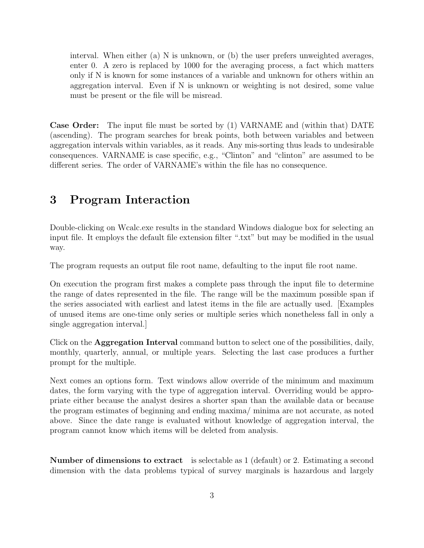interval. When either (a) N is unknown, or (b) the user prefers unweighted averages, enter 0. A zero is replaced by 1000 for the averaging process, a fact which matters only if N is known for some instances of a variable and unknown for others within an aggregation interval. Even if N is unknown or weighting is not desired, some value must be present or the file will be misread.

Case Order: The input file must be sorted by (1) VARNAME and (within that) DATE (ascending). The program searches for break points, both between variables and between aggregation intervals within variables, as it reads. Any mis-sorting thus leads to undesirable consequences. VARNAME is case specific, e.g., "Clinton" and "clinton" are assumed to be different series. The order of VARNAME's within the file has no consequence.

## 3 Program Interaction

Double-clicking on Wcalc.exe results in the standard Windows dialogue box for selecting an input file. It employs the default file extension filter ".txt" but may be modified in the usual way.

The program requests an output file root name, defaulting to the input file root name.

On execution the program first makes a complete pass through the input file to determine the range of dates represented in the file. The range will be the maximum possible span if the series associated with earliest and latest items in the file are actually used. [Examples of unused items are one-time only series or multiple series which nonetheless fall in only a single aggregation interval.]

Click on the Aggregation Interval command button to select one of the possibilities, daily, monthly, quarterly, annual, or multiple years. Selecting the last case produces a further prompt for the multiple.

Next comes an options form. Text windows allow override of the minimum and maximum dates, the form varying with the type of aggregation interval. Overriding would be appropriate either because the analyst desires a shorter span than the available data or because the program estimates of beginning and ending maxima/ minima are not accurate, as noted above. Since the date range is evaluated without knowledge of aggregation interval, the program cannot know which items will be deleted from analysis.

Number of dimensions to extract is selectable as 1 (default) or 2. Estimating a second dimension with the data problems typical of survey marginals is hazardous and largely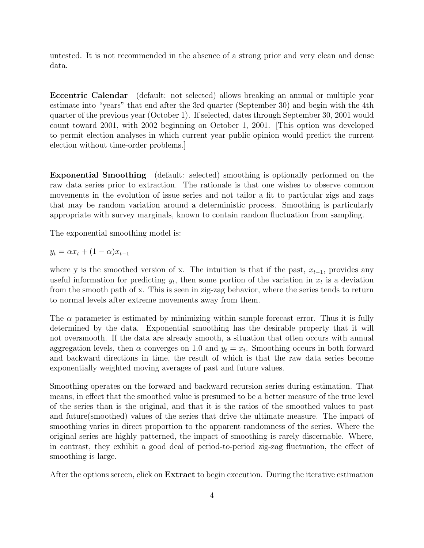untested. It is not recommended in the absence of a strong prior and very clean and dense data.

Eccentric Calendar (default: not selected) allows breaking an annual or multiple year estimate into "years" that end after the 3rd quarter (September 30) and begin with the 4th quarter of the previous year (October 1). If selected, dates through September 30, 2001 would count toward 2001, with 2002 beginning on October 1, 2001. [This option was developed to permit election analyses in which current year public opinion would predict the current election without time-order problems.]

Exponential Smoothing (default: selected) smoothing is optionally performed on the raw data series prior to extraction. The rationale is that one wishes to observe common movements in the evolution of issue series and not tailor a fit to particular zigs and zags that may be random variation around a deterministic process. Smoothing is particularly appropriate with survey marginals, known to contain random fluctuation from sampling.

The exponential smoothing model is:

$$
y_t = \alpha x_t + (1 - \alpha)x_{t-1}
$$

where y is the smoothed version of x. The intuition is that if the past,  $x_{t-1}$ , provides any useful information for predicting  $y_t$ , then some portion of the variation in  $x_t$  is a deviation from the smooth path of x. This is seen in zig-zag behavior, where the series tends to return to normal levels after extreme movements away from them.

The  $\alpha$  parameter is estimated by minimizing within sample forecast error. Thus it is fully determined by the data. Exponential smoothing has the desirable property that it will not oversmooth. If the data are already smooth, a situation that often occurs with annual aggregation levels, then  $\alpha$  converges on 1.0 and  $y_t = x_t$ . Smoothing occurs in both forward and backward directions in time, the result of which is that the raw data series become exponentially weighted moving averages of past and future values.

Smoothing operates on the forward and backward recursion series during estimation. That means, in effect that the smoothed value is presumed to be a better measure of the true level of the series than is the original, and that it is the ratios of the smoothed values to past and future(smoothed) values of the series that drive the ultimate measure. The impact of smoothing varies in direct proportion to the apparent randomness of the series. Where the original series are highly patterned, the impact of smoothing is rarely discernable. Where, in contrast, they exhibit a good deal of period-to-period zig-zag fluctuation, the effect of smoothing is large.

After the options screen, click on **Extract** to begin execution. During the iterative estimation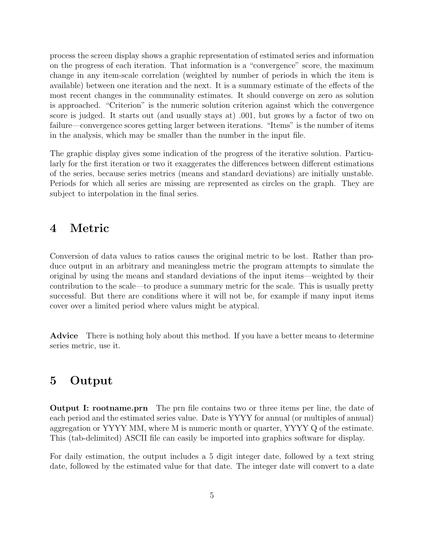process the screen display shows a graphic representation of estimated series and information on the progress of each iteration. That information is a "convergence" score, the maximum change in any item-scale correlation (weighted by number of periods in which the item is available) between one iteration and the next. It is a summary estimate of the effects of the most recent changes in the communality estimates. It should converge on zero as solution is approached. "Criterion" is the numeric solution criterion against which the convergence score is judged. It starts out (and usually stays at) .001, but grows by a factor of two on failure—convergence scores getting larger between iterations. "Items" is the number of items in the analysis, which may be smaller than the number in the input file.

The graphic display gives some indication of the progress of the iterative solution. Particularly for the first iteration or two it exaggerates the differences between different estimations of the series, because series metrics (means and standard deviations) are initially unstable. Periods for which all series are missing are represented as circles on the graph. They are subject to interpolation in the final series.

# 4 Metric

Conversion of data values to ratios causes the original metric to be lost. Rather than produce output in an arbitrary and meaningless metric the program attempts to simulate the original by using the means and standard deviations of the input items—weighted by their contribution to the scale—to produce a summary metric for the scale. This is usually pretty successful. But there are conditions where it will not be, for example if many input items cover over a limited period where values might be atypical.

Advice There is nothing holy about this method. If you have a better means to determine series metric, use it.

## 5 Output

**Output I: rootname.prn** The prn file contains two or three items per line, the date of each period and the estimated series value. Date is YYYY for annual (or multiples of annual) aggregation or YYYY MM, where M is numeric month or quarter, YYYY Q of the estimate. This (tab-delimited) ASCII file can easily be imported into graphics software for display.

For daily estimation, the output includes a 5 digit integer date, followed by a text string date, followed by the estimated value for that date. The integer date will convert to a date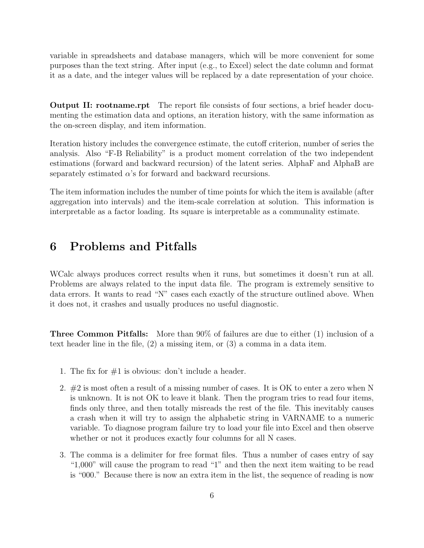variable in spreadsheets and database managers, which will be more convenient for some purposes than the text string. After input (e.g., to Excel) select the date column and format it as a date, and the integer values will be replaced by a date representation of your choice.

**Output II: rootname.rpt** The report file consists of four sections, a brief header documenting the estimation data and options, an iteration history, with the same information as the on-screen display, and item information.

Iteration history includes the convergence estimate, the cutoff criterion, number of series the analysis. Also "F-B Reliability" is a product moment correlation of the two independent estimations (forward and backward recursion) of the latent series. AlphaF and AlphaB are separately estimated  $\alpha$ 's for forward and backward recursions.

The item information includes the number of time points for which the item is available (after aggregation into intervals) and the item-scale correlation at solution. This information is interpretable as a factor loading. Its square is interpretable as a communality estimate.

# 6 Problems and Pitfalls

WCalc always produces correct results when it runs, but sometimes it doesn't run at all. Problems are always related to the input data file. The program is extremely sensitive to data errors. It wants to read "N" cases each exactly of the structure outlined above. When it does not, it crashes and usually produces no useful diagnostic.

Three Common Pitfalls: More than 90% of failures are due to either (1) inclusion of a text header line in the file, (2) a missing item, or (3) a comma in a data item.

- 1. The fix for  $#1$  is obvious: don't include a header.
- 2. #2 is most often a result of a missing number of cases. It is OK to enter a zero when N is unknown. It is not OK to leave it blank. Then the program tries to read four items, finds only three, and then totally misreads the rest of the file. This inevitably causes a crash when it will try to assign the alphabetic string in VARNAME to a numeric variable. To diagnose program failure try to load your file into Excel and then observe whether or not it produces exactly four columns for all N cases.
- 3. The comma is a delimiter for free format files. Thus a number of cases entry of say "1,000" will cause the program to read "1" and then the next item waiting to be read is "000." Because there is now an extra item in the list, the sequence of reading is now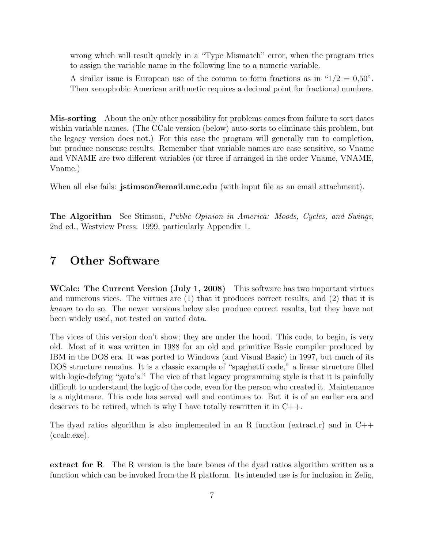wrong which will result quickly in a "Type Mismatch" error, when the program tries to assign the variable name in the following line to a numeric variable.

A similar issue is European use of the comma to form fractions as in " $1/2 = 0.50$ ". Then xenophobic American arithmetic requires a decimal point for fractional numbers.

Mis-sorting About the only other possibility for problems comes from failure to sort dates within variable names. (The CCalc version (below) auto-sorts to eliminate this problem, but the legacy version does not.) For this case the program will generally run to completion, but produce nonsense results. Remember that variable names are case sensitive, so Vname and VNAME are two different variables (or three if arranged in the order Vname, VNAME, Vname.)

When all else fails: **jstimson@email.unc.edu** (with input file as an email attachment).

The Algorithm See Stimson, Public Opinion in America: Moods, Cycles, and Swings, 2nd ed., Westview Press: 1999, particularly Appendix 1.

# 7 Other Software

WCalc: The Current Version (July 1, 2008) This software has two important virtues and numerous vices. The virtues are  $(1)$  that it produces correct results, and  $(2)$  that it is known to do so. The newer versions below also produce correct results, but they have not been widely used, not tested on varied data.

The vices of this version don't show; they are under the hood. This code, to begin, is very old. Most of it was written in 1988 for an old and primitive Basic compiler produced by IBM in the DOS era. It was ported to Windows (and Visual Basic) in 1997, but much of its DOS structure remains. It is a classic example of "spaghetti code," a linear structure filled with logic-defying "goto's." The vice of that legacy programming style is that it is painfully difficult to understand the logic of the code, even for the person who created it. Maintenance is a nightmare. This code has served well and continues to. But it is of an earlier era and deserves to be retired, which is why I have totally rewritten it in  $C++$ .

The dyad ratios algorithm is also implemented in an R function (extract.r) and in  $C++$ (ccalc.exe).

extract for R The R version is the bare bones of the dyad ratios algorithm written as a function which can be invoked from the R platform. Its intended use is for inclusion in Zelig,